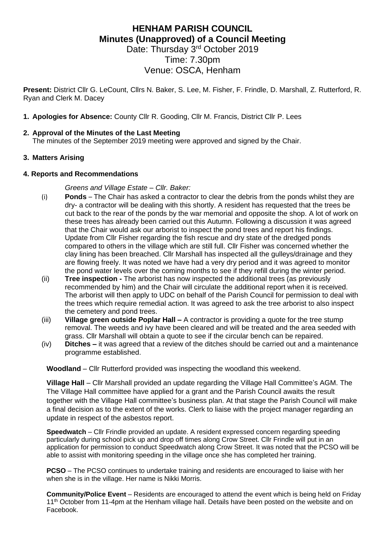# **HENHAM PARISH COUNCIL Minutes (Unapproved) of a Council Meeting** Date: Thursday 3<sup>rd</sup> October 2019

Time: 7.30pm Venue: OSCA, Henham

**Present:** District Cllr G. LeCount, Cllrs N. Baker, S. Lee, M. Fisher, F. Frindle, D. Marshall, Z. Rutterford, R. Ryan and Clerk M. Dacey

**1. Apologies for Absence:** County Cllr R. Gooding, Cllr M. Francis, District Cllr P. Lees

# **2. Approval of the Minutes of the Last Meeting**

The minutes of the September 2019 meeting were approved and signed by the Chair.

## **3. Matters Arising**

#### **4. Reports and Recommendations**

*Greens and Village Estate – Cllr. Baker:*

- (i) **Ponds**  The Chair has asked a contractor to clear the debris from the ponds whilst they are dry- a contractor will be dealing with this shortly. A resident has requested that the trees be cut back to the rear of the ponds by the war memorial and opposite the shop. A lot of work on these trees has already been carried out this Autumn. Following a discussion it was agreed that the Chair would ask our arborist to inspect the pond trees and report his findings. Update from Cllr Fisher regarding the fish rescue and dry state of the dredged ponds compared to others in the village which are still full. Cllr Fisher was concerned whether the clay lining has been breached. Cllr Marshall has inspected all the gulleys/drainage and they are flowing freely. It was noted we have had a very dry period and it was agreed to monitor the pond water levels over the coming months to see if they refill during the winter period.
- (ii) **Tree inspection -** The arborist has now inspected the additional trees (as previously recommended by him) and the Chair will circulate the additional report when it is received. The arborist will then apply to UDC on behalf of the Parish Council for permission to deal with the trees which require remedial action. It was agreed to ask the tree arborist to also inspect the cemetery and pond trees.
- (iii) **Village green outside Poplar Hall –** A contractor is providing a quote for the tree stump removal. The weeds and ivy have been cleared and will be treated and the area seeded with grass. Cllr Marshall will obtain a quote to see if the circular bench can be repaired.
- (iv) **Ditches –** it was agreed that a review of the ditches should be carried out and a maintenance programme established.

**Woodland** – Cllr Rutterford provided was inspecting the woodland this weekend.

**Village Hall** – Cllr Marshall provided an update regarding the Village Hall Committee's AGM. The The Village Hall committee have applied for a grant and the Parish Council awaits the result together with the Village Hall committee's business plan. At that stage the Parish Council will make a final decision as to the extent of the works. Clerk to liaise with the project manager regarding an update in respect of the asbestos report.

**Speedwatch** – Cllr Frindle provided an update. A resident expressed concern regarding speeding particularly during school pick up and drop off times along Crow Street. Cllr Frindle will put in an application for permission to conduct Speedwatch along Crow Street. It was noted that the PCSO will be able to assist with monitoring speeding in the village once she has completed her training.

**PCSO** – The PCSO continues to undertake training and residents are encouraged to liaise with her when she is in the village. Her name is Nikki Morris.

**Community/Police Event** – Residents are encouraged to attend the event which is being held on Friday 11<sup>th</sup> October from 11-4pm at the Henham village hall. Details have been posted on the website and on Facebook.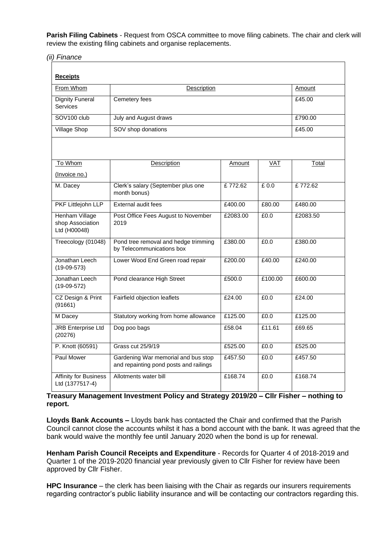**Parish Filing Cabinets** - Request from OSCA committee to move filing cabinets. The chair and clerk will review the existing filing cabinets and organise replacements.

*(ii) Finance*

| <b>Receipts</b>                                    |                                                                               |          |         |          |
|----------------------------------------------------|-------------------------------------------------------------------------------|----------|---------|----------|
| From Whom                                          | Description                                                                   |          |         | Amount   |
| <b>Dignity Funeral</b><br><b>Services</b>          | Cemetery fees                                                                 |          |         | £45.00   |
| SOV <sub>100</sub> club                            | July and August draws                                                         |          |         | £790.00  |
| <b>Village Shop</b>                                | SOV shop donations                                                            |          |         | £45.00   |
|                                                    |                                                                               |          |         |          |
| To Whom                                            | Description                                                                   | Amount   | VAT     | Total    |
| (Invoice no.)                                      |                                                                               |          |         |          |
| M. Dacey                                           | Clerk's salary (September plus one<br>month bonus)                            | £772.62  | £0.0    | £772.62  |
| PKF Littlejohn LLP                                 | External audit fees                                                           | £400.00  | £80.00  | £480.00  |
| Henham Village<br>shop Association<br>Ltd (H00048) | Post Office Fees August to November<br>2019                                   | £2083.00 | £0.0    | £2083.50 |
| Treecology (01048)                                 | Pond tree removal and hedge trimming<br>by Telecommunications box             | £380.00  | £0.0    | £380.00  |
| Jonathan Leech<br>$(19-09-573)$                    | Lower Wood End Green road repair                                              | £200.00  | £40.00  | £240.00  |
| Jonathan Leech<br>$(19-09-572)$                    | Pond clearance High Street                                                    | £500.0   | £100.00 | £600.00  |
| CZ Design & Print<br>(91661)                       | Fairfield objection leaflets                                                  | £24.00   | £0.0    | £24.00   |
| M Dacey                                            | Statutory working from home allowance                                         | £125.00  | £0.0    | £125.00  |
| <b>JRB</b> Enterprise Ltd<br>(20276)               | Dog poo bags                                                                  | £58.04   | £11.61  | £69.65   |
| P. Knott (60591)                                   | Grass cut 25/9/19                                                             | £525.00  | £0.0    | £525.00  |
| Paul Mower                                         | Gardening War memorial and bus stop<br>and repainting pond posts and railings | £457.50  | £0.0    | £457.50  |
| <b>Affinity for Business</b><br>Ltd (1377517-4)    | Allotments water bill                                                         | £168.74  | £0.0    | £168.74  |

**Treasury Management Investment Policy and Strategy 2019/20 – Cllr Fisher – nothing to report.**

**Lloyds Bank Accounts –** Lloyds bank has contacted the Chair and confirmed that the Parish Council cannot close the accounts whilst it has a bond account with the bank. It was agreed that the bank would waive the monthly fee until January 2020 when the bond is up for renewal.

**Henham Parish Council Receipts and Expenditure** - Records for Quarter 4 of 2018-2019 and Quarter 1 of the 2019-2020 financial year previously given to Cllr Fisher for review have been approved by Cllr Fisher.

**HPC Insurance** – the clerk has been liaising with the Chair as regards our insurers requirements regarding contractor's public liability insurance and will be contacting our contractors regarding this.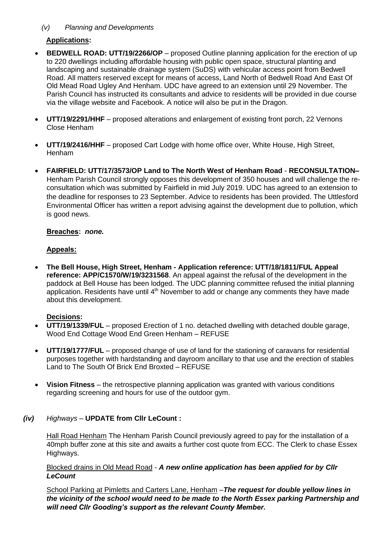# *(v) Planning and Developments*

# **Applications:**

- **BEDWELL ROAD: UTT/19/2266/OP** proposed Outline planning application for the erection of up to 220 dwellings including affordable housing with public open space, structural planting and landscaping and sustainable drainage system (SuDS) with vehicular access point from Bedwell Road. All matters reserved except for means of access, Land North of Bedwell Road And East Of Old Mead Road Ugley And Henham. UDC have agreed to an extension until 29 November. The Parish Council has instructed its consultants and advice to residents will be provided in due course via the village website and Facebook. A notice will also be put in the Dragon.
- **UTT/19/2291/HHF** proposed alterations and enlargement of existing front porch, 22 Vernons Close Henham
- **UTT/19/2416/HHF** proposed Cart Lodge with home office over, White House, High Street, Henham
- **FAIRFIELD: UTT/17/3573/OP Land to The North West of Henham Road RECONSULTATION–** Henham Parish Council strongly opposes this development of 350 houses and will challenge the reconsultation which was submitted by Fairfield in mid July 2019. UDC has agreed to an extension to the deadline for responses to 23 September. Advice to residents has been provided. The Uttlesford Environmental Officer has written a report advising against the development due to pollution, which is good news.

#### **Breaches:** *none.*

## **Appeals:**

• **The Bell House, High Street, Henham - Application reference: UTT/18/1811/FUL Appeal reference: APP/C1570/W/19/3231568**. An appeal against the refusal of the development in the paddock at Bell House has been lodged. The UDC planning committee refused the initial planning application. Residents have until 4<sup>th</sup> November to add or change any comments they have made about this development.

#### **Decisions:**

- **UTT/19/1339/FUL** proposed Erection of 1 no. detached dwelling with detached double garage, Wood End Cottage Wood End Green Henham – REFUSE
- **UTT/19/1777/FUL** proposed change of use of land for the stationing of caravans for residential purposes together with hardstanding and dayroom ancillary to that use and the erection of stables Land to The South Of Brick End Broxted – REFUSE
- **Vision Fitness** the retrospective planning application was granted with various conditions regarding screening and hours for use of the outdoor gym.

#### *(iv) Highways –* **UPDATE from Cllr LeCount :**

Hall Road Henham The Henham Parish Council previously agreed to pay for the installation of a 40mph buffer zone at this site and awaits a further cost quote from ECC. The Clerk to chase Essex Highways.

#### Blocked drains in Old Mead Road - *A new online application has been applied for by Cllr LeCount*

School Parking at Pimletts and Carters Lane, Henham –*The request for double yellow lines in the vicinity of the school would need to be made to the North Essex parking Partnership and will need Cllr Gooding's support as the relevant County Member.*